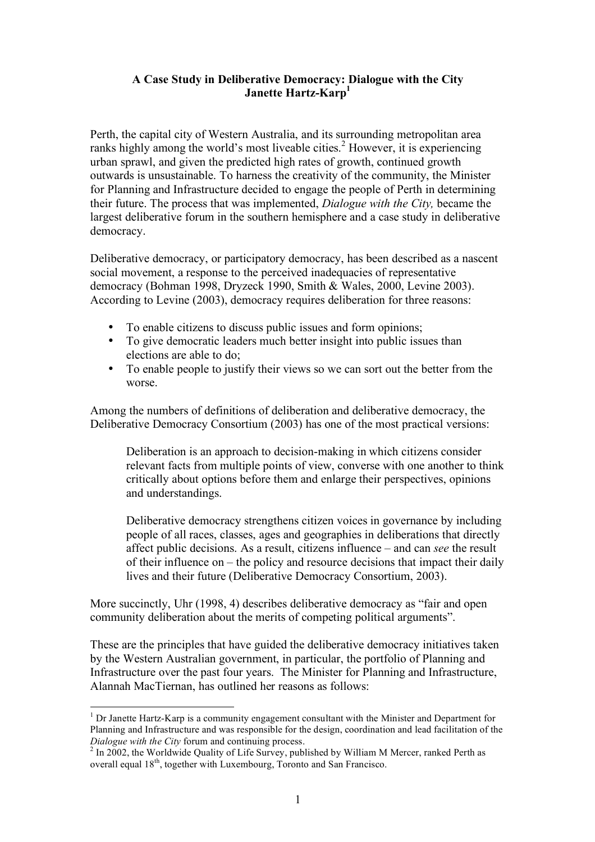## **A Case Study in Deliberative Democracy: Dialogue with the City Janette Hartz-Karp**<sup>1</sup>

Perth, the capital city of Western Australia, and its surrounding metropolitan area ranks highly among the world's most liveable cities. <sup>2</sup> However, it is experiencing urban sprawl, and given the predicted high rates of growth, continued growth outwards is unsustainable. To harness the creativity of the community, the Minister for Planning and Infrastructure decided to engage the people of Perth in determining their future. The process that was implemented, *Dialogue with the City,* became the largest deliberative forum in the southern hemisphere and a case study in deliberative democracy.

Deliberative democracy, or participatory democracy, has been described as a nascent social movement, a response to the perceived inadequacies of representative democracy (Bohman 1998, Dryzeck 1990, Smith & Wales, 2000, Levine 2003). According to Levine (2003), democracy requires deliberation for three reasons:

- To enable citizens to discuss public issues and form opinions;
- To give democratic leaders much better insight into public issues than elections are able to do;
- To enable people to justify their views so we can sort out the better from the worse.

Among the numbers of definitions of deliberation and deliberative democracy, the Deliberative Democracy Consortium (2003) has one of the most practical versions:

Deliberation is an approach to decision-making in which citizens consider relevant facts from multiple points of view, converse with one another to think critically about options before them and enlarge their perspectives, opinions and understandings.

Deliberative democracy strengthens citizen voices in governance by including people of all races, classes, ages and geographies in deliberations that directly affect public decisions. As a result, citizens influence – and can *see* the result of their influence on – the policy and resource decisions that impact their daily lives and their future (Deliberative Democracy Consortium, 2003).

More succinctly, Uhr (1998, 4) describes deliberative democracy as "fair and open community deliberation about the merits of competing political arguments".

These are the principles that have guided the deliberative democracy initiatives taken by the Western Australian government, in particular, the portfolio of Planning and Infrastructure over the past four years. The Minister for Planning and Infrastructure, Alannah MacTiernan, has outlined her reasons as follows:

 $<sup>1</sup>$  Dr Janette Hartz-Karp is a community engagement consultant with the Minister and Department for</sup> Planning and Infrastructure and was responsible for the design, coordination and lead facilitation of the *Dialogue with the City* forum and continuing process.<br><sup>2</sup> In 2002, the Worldwide Ouality of Life Survey, published by William M Mercer, ranked Perth as

overall equal 18<sup>th</sup>, together with Luxembourg, Toronto and San Francisco.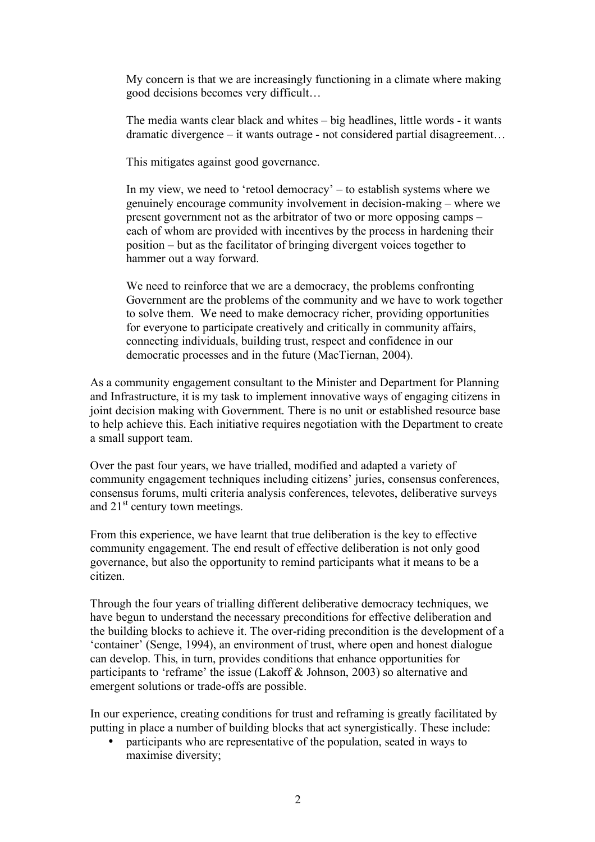My concern is that we are increasingly functioning in a climate where making good decisions becomes very difficult…

The media wants clear black and whites – big headlines, little words - it wants dramatic divergence – it wants outrage - not considered partial disagreement…

This mitigates against good governance.

In my view, we need to 'retool democracy' – to establish systems where we genuinely encourage community involvement in decision-making – where we present government not as the arbitrator of two or more opposing camps – each of whom are provided with incentives by the process in hardening their position – but as the facilitator of bringing divergent voices together to hammer out a way forward.

We need to reinforce that we are a democracy, the problems confronting Government are the problems of the community and we have to work together to solve them. We need to make democracy richer, providing opportunities for everyone to participate creatively and critically in community affairs, connecting individuals, building trust, respect and confidence in our democratic processes and in the future (MacTiernan, 2004).

As a community engagement consultant to the Minister and Department for Planning and Infrastructure, it is my task to implement innovative ways of engaging citizens in joint decision making with Government. There is no unit or established resource base to help achieve this. Each initiative requires negotiation with the Department to create a small support team.

Over the past four years, we have trialled, modified and adapted a variety of community engagement techniques including citizens' juries, consensus conferences, consensus forums, multi criteria analysis conferences, televotes, deliberative surveys and 21<sup>st</sup> century town meetings.

From this experience, we have learnt that true deliberation is the key to effective community engagement. The end result of effective deliberation is not only good governance, but also the opportunity to remind participants what it means to be a citizen.

Through the four years of trialling different deliberative democracy techniques, we have begun to understand the necessary preconditions for effective deliberation and the building blocks to achieve it. The over-riding precondition is the development of a 'container' (Senge, 1994), an environment of trust, where open and honest dialogue can develop. This, in turn, provides conditions that enhance opportunities for participants to 'reframe' the issue (Lakoff & Johnson, 2003) so alternative and emergent solutions or trade-offs are possible.

In our experience, creating conditions for trust and reframing is greatly facilitated by putting in place a number of building blocks that act synergistically. These include:

• participants who are representative of the population, seated in ways to maximise diversity;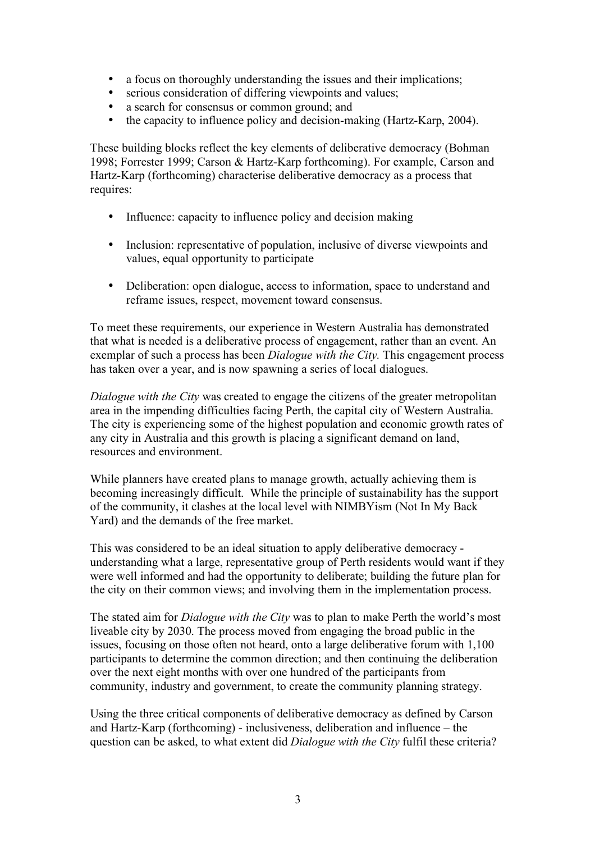- a focus on thoroughly understanding the issues and their implications;<br>• serious consideration of differing viewpoints and values:
- serious consideration of differing viewpoints and values;
- a search for consensus or common ground; and<br>• the canacity to influence policy and decision-min
- the capacity to influence policy and decision-making (Hartz-Karp, 2004).

These building blocks reflect the key elements of deliberative democracy (Bohman 1998; Forrester 1999; Carson & Hartz-Karp forthcoming). For example, Carson and Hartz-Karp (forthcoming) characterise deliberative democracy as a process that requires:

- Influence: capacity to influence policy and decision making
- Inclusion: representative of population, inclusive of diverse viewpoints and values, equal opportunity to participate
- Deliberation: open dialogue, access to information, space to understand and reframe issues, respect, movement toward consensus.

To meet these requirements, our experience in Western Australia has demonstrated that what is needed is a deliberative process of engagement, rather than an event. An exemplar of such a process has been *Dialogue with the City.* This engagement process has taken over a year, and is now spawning a series of local dialogues.

*Dialogue with the City* was created to engage the citizens of the greater metropolitan area in the impending difficulties facing Perth, the capital city of Western Australia. The city is experiencing some of the highest population and economic growth rates of any city in Australia and this growth is placing a significant demand on land, resources and environment.

While planners have created plans to manage growth, actually achieving them is becoming increasingly difficult. While the principle of sustainability has the support of the community, it clashes at the local level with NIMBYism (Not In My Back Yard) and the demands of the free market.

This was considered to be an ideal situation to apply deliberative democracy understanding what a large, representative group of Perth residents would want if they were well informed and had the opportunity to deliberate; building the future plan for the city on their common views; and involving them in the implementation process.

The stated aim for *Dialogue with the City* was to plan to make Perth the world's most liveable city by 2030. The process moved from engaging the broad public in the issues, focusing on those often not heard, onto a large deliberative forum with 1,100 participants to determine the common direction; and then continuing the deliberation over the next eight months with over one hundred of the participants from community, industry and government, to create the community planning strategy.

Using the three critical components of deliberative democracy as defined by Carson and Hartz-Karp (forthcoming) - inclusiveness, deliberation and influence – the question can be asked, to what extent did *Dialogue with the City* fulfil these criteria?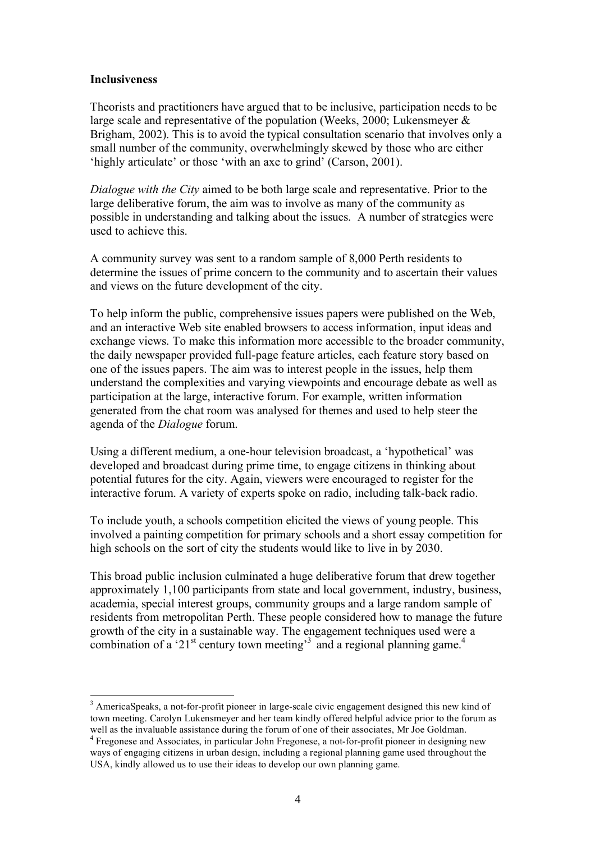#### **Inclusiveness**

Theorists and practitioners have argued that to be inclusive, participation needs to be large scale and representative of the population (Weeks, 2000; Lukensmeyer  $\&$ Brigham, 2002). This is to avoid the typical consultation scenario that involves only a small number of the community, overwhelmingly skewed by those who are either 'highly articulate' or those 'with an axe to grind' (Carson, 2001).

*Dialogue with the City* aimed to be both large scale and representative. Prior to the large deliberative forum, the aim was to involve as many of the community as possible in understanding and talking about the issues. A number of strategies were used to achieve this.

A community survey was sent to a random sample of 8,000 Perth residents to determine the issues of prime concern to the community and to ascertain their values and views on the future development of the city.

To help inform the public, comprehensive issues papers were published on the Web, and an interactive Web site enabled browsers to access information, input ideas and exchange views. To make this information more accessible to the broader community, the daily newspaper provided full-page feature articles, each feature story based on one of the issues papers. The aim was to interest people in the issues, help them understand the complexities and varying viewpoints and encourage debate as well as participation at the large, interactive forum. For example, written information generated from the chat room was analysed for themes and used to help steer the agenda of the *Dialogue* forum.

Using a different medium, a one-hour television broadcast, a 'hypothetical' was developed and broadcast during prime time, to engage citizens in thinking about potential futures for the city. Again, viewers were encouraged to register for the interactive forum. A variety of experts spoke on radio, including talk-back radio.

To include youth, a schools competition elicited the views of young people. This involved a painting competition for primary schools and a short essay competition for high schools on the sort of city the students would like to live in by 2030.

This broad public inclusion culminated a huge deliberative forum that drew together approximately 1,100 participants from state and local government, industry, business, academia, special interest groups, community groups and a large random sample of residents from metropolitan Perth. These people considered how to manage the future growth of the city in a sustainable way. The engagement techniques used were a combination of a '21<sup>st</sup> century town meeting<sup>33</sup> and a regional planning game.<sup>4</sup>

<sup>&</sup>lt;sup>3</sup> AmericaSpeaks, a not-for-profit pioneer in large-scale civic engagement designed this new kind of town meeting. Carolyn Lukensmeyer and her team kindly offered helpful advice prior to the forum as well as the invaluable assistance during the forum of one of their associates, Mr Joe Goldman.<br><sup>4</sup> Fregonese and Associates, in particular John Fregonese, a not-for-profit pioneer in designing new

ways of engaging citizens in urban design, including a regional planning game used throughout the USA, kindly allowed us to use their ideas to develop our own planning game.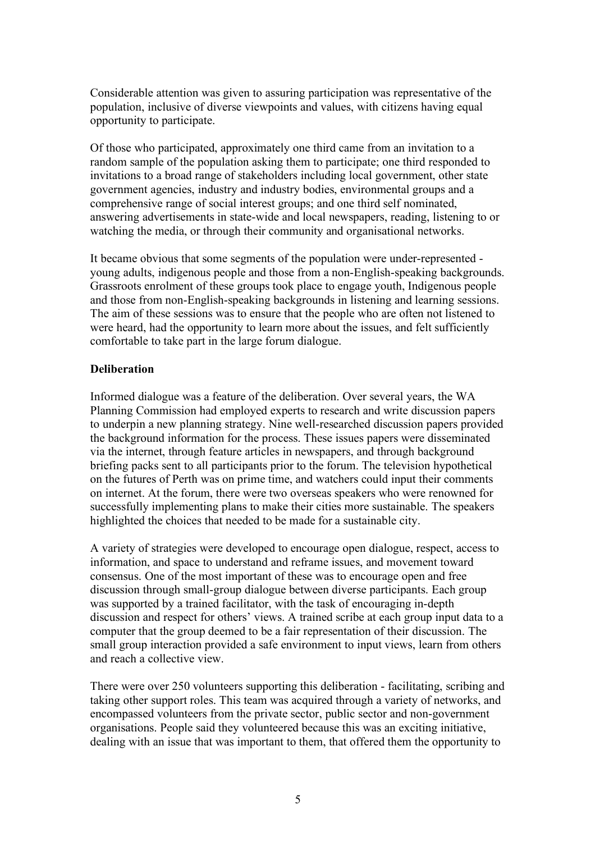Considerable attention was given to assuring participation was representative of the population, inclusive of diverse viewpoints and values, with citizens having equal opportunity to participate.

Of those who participated, approximately one third came from an invitation to a random sample of the population asking them to participate; one third responded to invitations to a broad range of stakeholders including local government, other state government agencies, industry and industry bodies, environmental groups and a comprehensive range of social interest groups; and one third self nominated, answering advertisements in state-wide and local newspapers, reading, listening to or watching the media, or through their community and organisational networks.

It became obvious that some segments of the population were under-represented young adults, indigenous people and those from a non-English-speaking backgrounds. Grassroots enrolment of these groups took place to engage youth, Indigenous people and those from non-English-speaking backgrounds in listening and learning sessions. The aim of these sessions was to ensure that the people who are often not listened to were heard, had the opportunity to learn more about the issues, and felt sufficiently comfortable to take part in the large forum dialogue.

### **Deliberation**

Informed dialogue was a feature of the deliberation. Over several years, the WA Planning Commission had employed experts to research and write discussion papers to underpin a new planning strategy. Nine well-researched discussion papers provided the background information for the process. These issues papers were disseminated via the internet, through feature articles in newspapers, and through background briefing packs sent to all participants prior to the forum. The television hypothetical on the futures of Perth was on prime time, and watchers could input their comments on internet. At the forum, there were two overseas speakers who were renowned for successfully implementing plans to make their cities more sustainable. The speakers highlighted the choices that needed to be made for a sustainable city.

A variety of strategies were developed to encourage open dialogue, respect, access to information, and space to understand and reframe issues, and movement toward consensus. One of the most important of these was to encourage open and free discussion through small-group dialogue between diverse participants. Each group was supported by a trained facilitator, with the task of encouraging in-depth discussion and respect for others' views. A trained scribe at each group input data to a computer that the group deemed to be a fair representation of their discussion. The small group interaction provided a safe environment to input views, learn from others and reach a collective view.

There were over 250 volunteers supporting this deliberation - facilitating, scribing and taking other support roles. This team was acquired through a variety of networks, and encompassed volunteers from the private sector, public sector and non-government organisations. People said they volunteered because this was an exciting initiative, dealing with an issue that was important to them, that offered them the opportunity to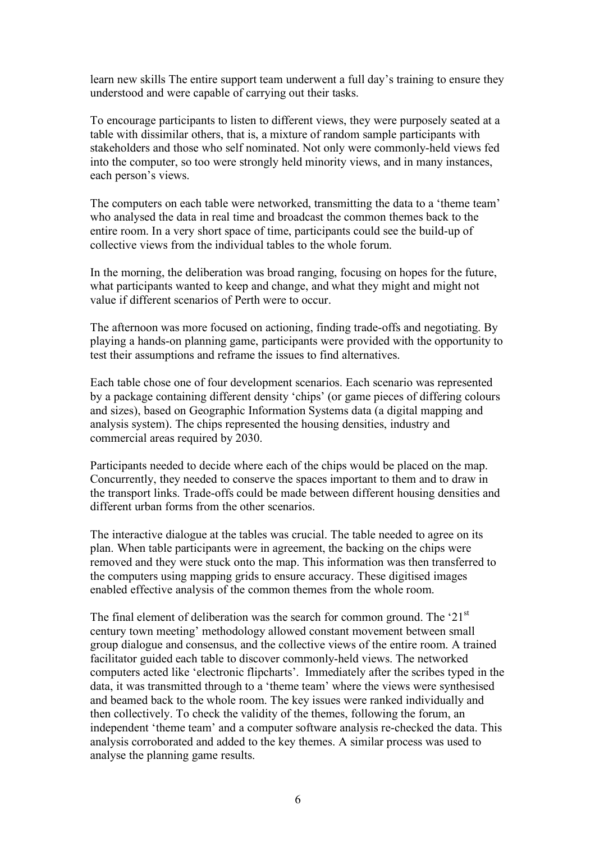learn new skills The entire support team underwent a full day's training to ensure they understood and were capable of carrying out their tasks.

To encourage participants to listen to different views, they were purposely seated at a table with dissimilar others, that is, a mixture of random sample participants with stakeholders and those who self nominated. Not only were commonly-held views fed into the computer, so too were strongly held minority views, and in many instances, each person's views.

The computers on each table were networked, transmitting the data to a 'theme team' who analysed the data in real time and broadcast the common themes back to the entire room. In a very short space of time, participants could see the build-up of collective views from the individual tables to the whole forum.

In the morning, the deliberation was broad ranging, focusing on hopes for the future, what participants wanted to keep and change, and what they might and might not value if different scenarios of Perth were to occur.

The afternoon was more focused on actioning, finding trade-offs and negotiating. By playing a hands-on planning game, participants were provided with the opportunity to test their assumptions and reframe the issues to find alternatives.

Each table chose one of four development scenarios. Each scenario was represented by a package containing different density 'chips' (or game pieces of differing colours and sizes), based on Geographic Information Systems data (a digital mapping and analysis system). The chips represented the housing densities, industry and commercial areas required by 2030.

Participants needed to decide where each of the chips would be placed on the map. Concurrently, they needed to conserve the spaces important to them and to draw in the transport links. Trade-offs could be made between different housing densities and different urban forms from the other scenarios.

The interactive dialogue at the tables was crucial. The table needed to agree on its plan. When table participants were in agreement, the backing on the chips were removed and they were stuck onto the map. This information was then transferred to the computers using mapping grids to ensure accuracy. These digitised images enabled effective analysis of the common themes from the whole room.

The final element of deliberation was the search for common ground. The ' $21<sup>st</sup>$ century town meeting' methodology allowed constant movement between small group dialogue and consensus, and the collective views of the entire room. A trained facilitator guided each table to discover commonly-held views. The networked computers acted like 'electronic flipcharts'. Immediately after the scribes typed in the data, it was transmitted through to a 'theme team' where the views were synthesised and beamed back to the whole room. The key issues were ranked individually and then collectively. To check the validity of the themes, following the forum, an independent 'theme team' and a computer software analysis re-checked the data. This analysis corroborated and added to the key themes. A similar process was used to analyse the planning game results.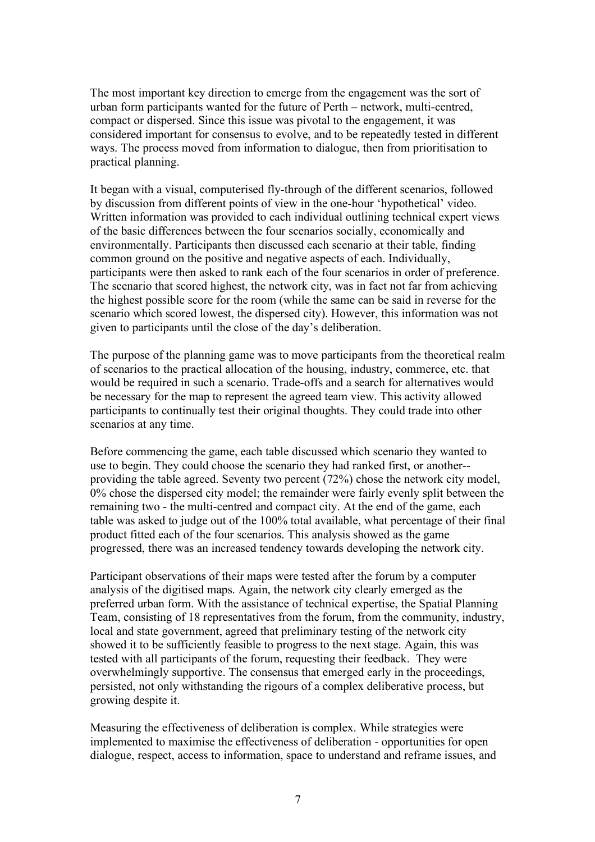The most important key direction to emerge from the engagement was the sort of urban form participants wanted for the future of Perth – network, multi-centred, compact or dispersed. Since this issue was pivotal to the engagement, it was considered important for consensus to evolve, and to be repeatedly tested in different ways. The process moved from information to dialogue, then from prioritisation to practical planning.

It began with a visual, computerised fly-through of the different scenarios, followed by discussion from different points of view in the one-hour 'hypothetical' video. Written information was provided to each individual outlining technical expert views of the basic differences between the four scenarios socially, economically and environmentally. Participants then discussed each scenario at their table, finding common ground on the positive and negative aspects of each. Individually, participants were then asked to rank each of the four scenarios in order of preference. The scenario that scored highest, the network city, was in fact not far from achieving the highest possible score for the room (while the same can be said in reverse for the scenario which scored lowest, the dispersed city). However, this information was not given to participants until the close of the day's deliberation.

The purpose of the planning game was to move participants from the theoretical realm of scenarios to the practical allocation of the housing, industry, commerce, etc. that would be required in such a scenario. Trade-offs and a search for alternatives would be necessary for the map to represent the agreed team view. This activity allowed participants to continually test their original thoughts. They could trade into other scenarios at any time.

Before commencing the game, each table discussed which scenario they wanted to use to begin. They could choose the scenario they had ranked first, or another- providing the table agreed. Seventy two percent (72%) chose the network city model, 0% chose the dispersed city model; the remainder were fairly evenly split between the remaining two - the multi-centred and compact city. At the end of the game, each table was asked to judge out of the 100% total available, what percentage of their final product fitted each of the four scenarios. This analysis showed as the game progressed, there was an increased tendency towards developing the network city.

Participant observations of their maps were tested after the forum by a computer analysis of the digitised maps. Again, the network city clearly emerged as the preferred urban form. With the assistance of technical expertise, the Spatial Planning Team, consisting of 18 representatives from the forum, from the community, industry, local and state government, agreed that preliminary testing of the network city showed it to be sufficiently feasible to progress to the next stage. Again, this was tested with all participants of the forum, requesting their feedback. They were overwhelmingly supportive. The consensus that emerged early in the proceedings, persisted, not only withstanding the rigours of a complex deliberative process, but growing despite it.

Measuring the effectiveness of deliberation is complex. While strategies were implemented to maximise the effectiveness of deliberation - opportunities for open dialogue, respect, access to information, space to understand and reframe issues, and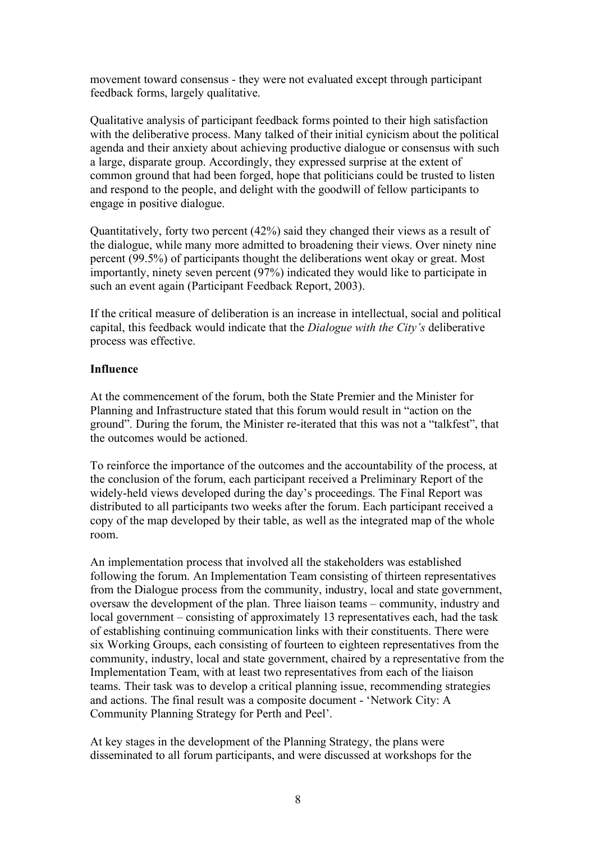movement toward consensus - they were not evaluated except through participant feedback forms, largely qualitative.

Qualitative analysis of participant feedback forms pointed to their high satisfaction with the deliberative process. Many talked of their initial cynicism about the political agenda and their anxiety about achieving productive dialogue or consensus with such a large, disparate group. Accordingly, they expressed surprise at the extent of common ground that had been forged, hope that politicians could be trusted to listen and respond to the people, and delight with the goodwill of fellow participants to engage in positive dialogue.

Quantitatively, forty two percent (42%) said they changed their views as a result of the dialogue, while many more admitted to broadening their views. Over ninety nine percent (99.5%) of participants thought the deliberations went okay or great. Most importantly, ninety seven percent (97%) indicated they would like to participate in such an event again (Participant Feedback Report, 2003).

If the critical measure of deliberation is an increase in intellectual, social and political capital, this feedback would indicate that the *Dialogue with the City's* deliberative process was effective.

### **Influence**

At the commencement of the forum, both the State Premier and the Minister for Planning and Infrastructure stated that this forum would result in "action on the ground". During the forum, the Minister re-iterated that this was not a "talkfest", that the outcomes would be actioned.

To reinforce the importance of the outcomes and the accountability of the process, at the conclusion of the forum, each participant received a Preliminary Report of the widely-held views developed during the day's proceedings. The Final Report was distributed to all participants two weeks after the forum. Each participant received a copy of the map developed by their table, as well as the integrated map of the whole room.

An implementation process that involved all the stakeholders was established following the forum. An Implementation Team consisting of thirteen representatives from the Dialogue process from the community, industry, local and state government, oversaw the development of the plan. Three liaison teams – community, industry and local government – consisting of approximately 13 representatives each, had the task of establishing continuing communication links with their constituents. There were six Working Groups, each consisting of fourteen to eighteen representatives from the community, industry, local and state government, chaired by a representative from the Implementation Team, with at least two representatives from each of the liaison teams. Their task was to develop a critical planning issue, recommending strategies and actions. The final result was a composite document - 'Network City: A Community Planning Strategy for Perth and Peel'.

At key stages in the development of the Planning Strategy, the plans were disseminated to all forum participants, and were discussed at workshops for the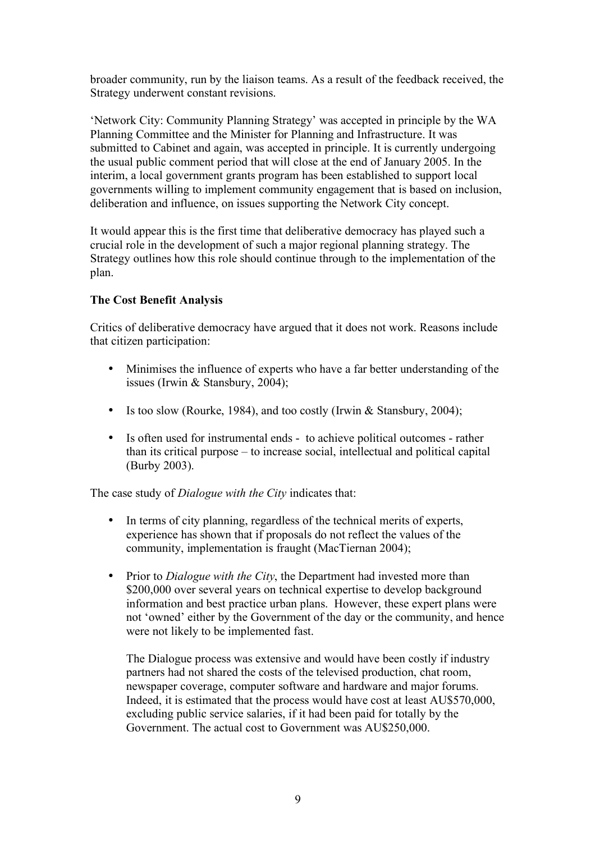broader community, run by the liaison teams. As a result of the feedback received, the Strategy underwent constant revisions.

'Network City: Community Planning Strategy' was accepted in principle by the WA Planning Committee and the Minister for Planning and Infrastructure. It was submitted to Cabinet and again, was accepted in principle. It is currently undergoing the usual public comment period that will close at the end of January 2005. In the interim, a local government grants program has been established to support local governments willing to implement community engagement that is based on inclusion, deliberation and influence, on issues supporting the Network City concept.

It would appear this is the first time that deliberative democracy has played such a crucial role in the development of such a major regional planning strategy. The Strategy outlines how this role should continue through to the implementation of the plan.

# **The Cost Benefit Analysis**

Critics of deliberative democracy have argued that it does not work. Reasons include that citizen participation:

- Minimises the influence of experts who have a far better understanding of the issues (Irwin & Stansbury, 2004);
- Is too slow (Rourke, 1984), and too costly (Irwin & Stansbury, 2004);
- Is often used for instrumental ends to achieve political outcomes rather than its critical purpose – to increase social, intellectual and political capital (Burby 2003).

The case study of *Dialogue with the City* indicates that:

- In terms of city planning, regardless of the technical merits of experts, experience has shown that if proposals do not reflect the values of the community, implementation is fraught (MacTiernan 2004);
- Prior to *Dialogue with the City*, the Department had invested more than \$200,000 over several years on technical expertise to develop background information and best practice urban plans. However, these expert plans were not 'owned' either by the Government of the day or the community, and hence were not likely to be implemented fast.

The Dialogue process was extensive and would have been costly if industry partners had not shared the costs of the televised production, chat room, newspaper coverage, computer software and hardware and major forums. Indeed, it is estimated that the process would have cost at least AU\$570,000, excluding public service salaries, if it had been paid for totally by the Government. The actual cost to Government was AU\$250,000.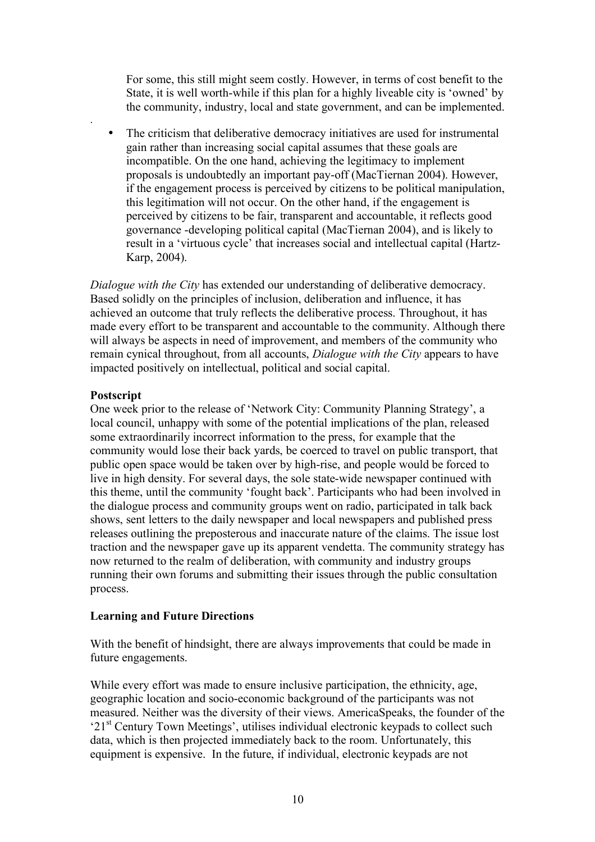For some, this still might seem costly. However, in terms of cost benefit to the State, it is well worth-while if this plan for a highly liveable city is 'owned' by the community, industry, local and state government, and can be implemented.

• The criticism that deliberative democracy initiatives are used for instrumental gain rather than increasing social capital assumes that these goals are incompatible. On the one hand, achieving the legitimacy to implement proposals is undoubtedly an important pay-off (MacTiernan 2004). However, if the engagement process is perceived by citizens to be political manipulation, this legitimation will not occur. On the other hand, if the engagement is perceived by citizens to be fair, transparent and accountable, it reflects good governance -developing political capital (MacTiernan 2004), and is likely to result in a 'virtuous cycle' that increases social and intellectual capital (Hartz-Karp, 2004).

*Dialogue with the City* has extended our understanding of deliberative democracy. Based solidly on the principles of inclusion, deliberation and influence, it has achieved an outcome that truly reflects the deliberative process. Throughout, it has made every effort to be transparent and accountable to the community. Although there will always be aspects in need of improvement, and members of the community who remain cynical throughout, from all accounts, *Dialogue with the City* appears to have impacted positively on intellectual, political and social capital.

## **Postscript**

.

One week prior to the release of 'Network City: Community Planning Strategy', a local council, unhappy with some of the potential implications of the plan, released some extraordinarily incorrect information to the press, for example that the community would lose their back yards, be coerced to travel on public transport, that public open space would be taken over by high-rise, and people would be forced to live in high density. For several days, the sole state-wide newspaper continued with this theme, until the community 'fought back'. Participants who had been involved in the dialogue process and community groups went on radio, participated in talk back shows, sent letters to the daily newspaper and local newspapers and published press releases outlining the preposterous and inaccurate nature of the claims. The issue lost traction and the newspaper gave up its apparent vendetta. The community strategy has now returned to the realm of deliberation, with community and industry groups running their own forums and submitting their issues through the public consultation process.

# **Learning and Future Directions**

With the benefit of hindsight, there are always improvements that could be made in future engagements.

While every effort was made to ensure inclusive participation, the ethnicity, age, geographic location and socio-economic background of the participants was not measured. Neither was the diversity of their views. AmericaSpeaks, the founder of the '21<sup>st</sup> Century Town Meetings', utilises individual electronic keypads to collect such data, which is then projected immediately back to the room. Unfortunately, this equipment is expensive. In the future, if individual, electronic keypads are not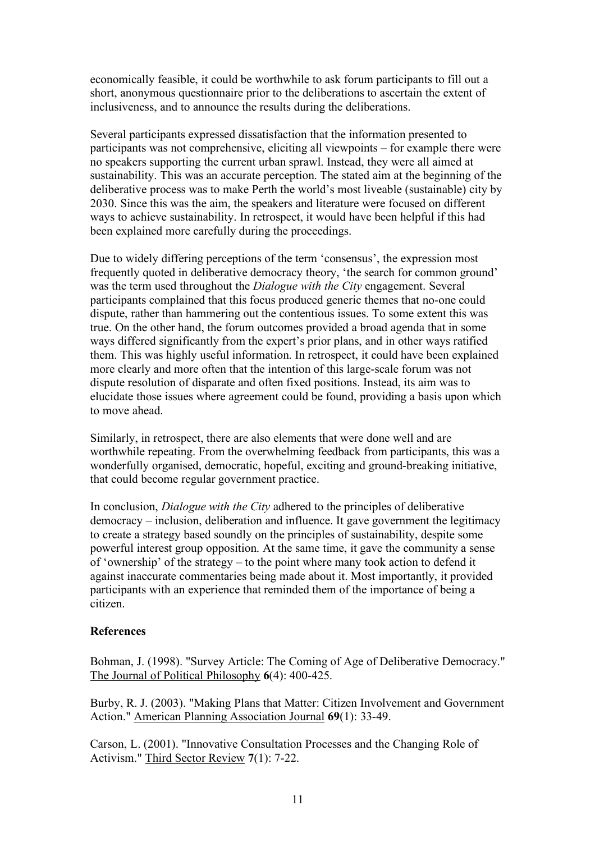economically feasible, it could be worthwhile to ask forum participants to fill out a short, anonymous questionnaire prior to the deliberations to ascertain the extent of inclusiveness, and to announce the results during the deliberations.

Several participants expressed dissatisfaction that the information presented to participants was not comprehensive, eliciting all viewpoints – for example there were no speakers supporting the current urban sprawl. Instead, they were all aimed at sustainability. This was an accurate perception. The stated aim at the beginning of the deliberative process was to make Perth the world's most liveable (sustainable) city by 2030. Since this was the aim, the speakers and literature were focused on different ways to achieve sustainability. In retrospect, it would have been helpful if this had been explained more carefully during the proceedings.

Due to widely differing perceptions of the term 'consensus', the expression most frequently quoted in deliberative democracy theory, 'the search for common ground' was the term used throughout the *Dialogue with the City* engagement. Several participants complained that this focus produced generic themes that no-one could dispute, rather than hammering out the contentious issues. To some extent this was true. On the other hand, the forum outcomes provided a broad agenda that in some ways differed significantly from the expert's prior plans, and in other ways ratified them. This was highly useful information. In retrospect, it could have been explained more clearly and more often that the intention of this large-scale forum was not dispute resolution of disparate and often fixed positions. Instead, its aim was to elucidate those issues where agreement could be found, providing a basis upon which to move ahead.

Similarly, in retrospect, there are also elements that were done well and are worthwhile repeating. From the overwhelming feedback from participants, this was a wonderfully organised, democratic, hopeful, exciting and ground-breaking initiative, that could become regular government practice.

In conclusion, *Dialogue with the City* adhered to the principles of deliberative democracy – inclusion, deliberation and influence. It gave government the legitimacy to create a strategy based soundly on the principles of sustainability, despite some powerful interest group opposition. At the same time, it gave the community a sense of 'ownership' of the strategy – to the point where many took action to defend it against inaccurate commentaries being made about it. Most importantly, it provided participants with an experience that reminded them of the importance of being a citizen.

## **References**

Bohman, J. (1998). "Survey Article: The Coming of Age of Deliberative Democracy." The Journal of Political Philosophy **6**(4): 400-425.

Burby, R. J. (2003). "Making Plans that Matter: Citizen Involvement and Government Action." American Planning Association Journal **69**(1): 33-49.

Carson, L. (2001). "Innovative Consultation Processes and the Changing Role of Activism." Third Sector Review **7**(1): 7-22.